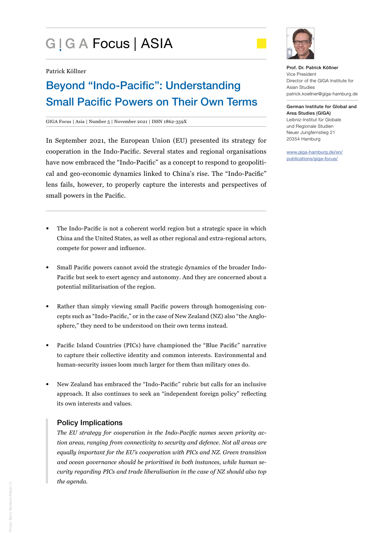# G | G A Focus | ASIA



Patrick Köllner

## Beyond "Indo-Pacific": Understanding Small Pacific Powers on Their Own Terms

#### GIGA Focus | Asia | Number 5 | November 2021 | ISSN 1862-359X

In September 2021, the European Union (EU) presented its strategy for cooperation in the Indo-Pacific. Several states and regional organisations have now embraced the "Indo-Pacific" as a concept to respond to geopolitical and geo-economic dynamics linked to China's rise. The "Indo-Pacific" lens fails, however, to properly capture the interests and perspectives of small powers in the Pacific.

- The Indo-Pacific is not a coherent world region but a strategic space in which China and the United States, as well as other regional and extra-regional actors, compete for power and influence.
- Small Pacific powers cannot avoid the strategic dynamics of the broader Indo-Pacific but seek to exert agency and autonomy. And they are concerned about a potential militarisation of the region.
- Rather than simply viewing small Pacific powers through homogenising concepts such as "Indo-Pacific," or in the case of New Zealand (NZ) also "the Anglosphere," they need to be understood on their own terms instead.
- Pacific Island Countries (PICs) have championed the "Blue Pacific" narrative to capture their collective identity and common interests. Environmental and human-security issues loom much larger for them than military ones do.
- New Zealand has embraced the "Indo-Pacific" rubric but calls for an inclusive approach. It also continues to seek an "independent foreign policy" reflecting its own interests and values.

## Policy Implications

*The EU strategy for cooperation in the Indo-Pacific names seven priority action areas, ranging from connectivity to security and defence. Not all areas are equally important for the EU's cooperation with PICs and NZ. Green transition and ocean governance should be prioritised in both instances, while human security regarding PICs and trade liberalisation in the case of NZ should also top the agenda.* 

Prof. Dr. Patrick Köllner Vice President Director of the GIGA Institute for Asian Studies patrick.koellner@giga-hamburg.de

German Institute for Global and Area Studies (GIGA) Leibniz-Institut für Globale und Regionale Studien Neuer Jungfernstieg 21 20354 Hamburg

www.giga-hamburg.de/en/ publications/giga-focus/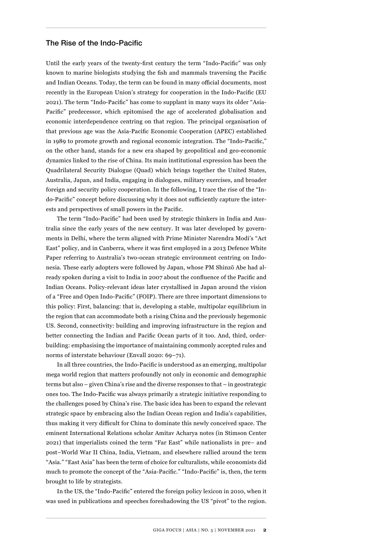### The Rise of the Indo-Pacific

Until the early years of the twenty-first century the term "Indo-Pacific" was only known to marine biologists studying the fish and mammals traversing the Pacific and Indian Oceans. Today, the term can be found in many official documents, most recently in the European Union's strategy for cooperation in the Indo-Pacific (EU 2021). The term "Indo-Pacific" has come to supplant in many ways its older "Asia-Pacific" predecessor, which epitomised the age of accelerated globalisation and economic interdependence centring on that region. The principal organisation of that previous age was the Asia-Pacific Economic Cooperation (APEC) established in 1989 to promote growth and regional economic integration. The "Indo-Pacific," on the other hand, stands for a new era shaped by geopolitical and geo-economic dynamics linked to the rise of China. Its main institutional expression has been the Quadrilateral Security Dialogue (Quad) which brings together the United States, Australia, Japan, and India, engaging in dialogues, military exercises, and broader foreign and security policy cooperation. In the following, I trace the rise of the "Indo-Pacific" concept before discussing why it does not sufficiently capture the interests and perspectives of small powers in the Pacific.

The term "Indo-Pacific" had been used by strategic thinkers in India and Australia since the early years of the new century. It was later developed by governments in Delhi, where the term aligned with Prime Minister Narendra Modi's "Act East" policy, and in Canberra, where it was first employed in a 2013 Defence White Paper referring to Australia's two-ocean strategic environment centring on Indonesia. These early adopters were followed by Japan, whose PM Shinzō Abe had already spoken during a visit to India in 2007 about the confluence of the Pacific and Indian Oceans. Policy-relevant ideas later crystallised in Japan around the vision of a "Free and Open Indo-Pacific" (FOIP). There are three important dimensions to this policy: First, balancing: that is, developing a stable, multipolar equilibrium in the region that can accommodate both a rising China and the previously hegemonic US. Second, connectivity: building and improving infrastructure in the region and better connecting the Indian and Pacific Ocean parts of it too. And, third, orderbuilding: emphasising the importance of maintaining commonly accepted rules and norms of interstate behaviour (Envall 2020: 69–71).

In all three countries, the Indo-Pacific is understood as an emerging, multipolar mega world region that matters profoundly not only in economic and demographic terms but also – given China's rise and the diverse responses to that – in geostrategic ones too. The Indo-Pacific was always primarily a strategic initiative responding to the challenges posed by China's rise. The basic idea has been to expand the relevant strategic space by embracing also the Indian Ocean region and India's capabilities, thus making it very difficult for China to dominate this newly conceived space. The eminent International Relations scholar Amitav Acharya notes (in Stimson Center 2021) that imperialists coined the term "Far East" while nationalists in pre– and post–World War II China, India, Vietnam, and elsewhere rallied around the term "Asia." "East Asia" has been the term of choice for culturalists, while economists did much to promote the concept of the "Asia-Pacific." "Indo-Pacific" is, then, the term brought to life by strategists.

In the US, the "Indo-Pacific" entered the foreign policy lexicon in 2010, when it was used in publications and speeches foreshadowing the US "pivot" to the region.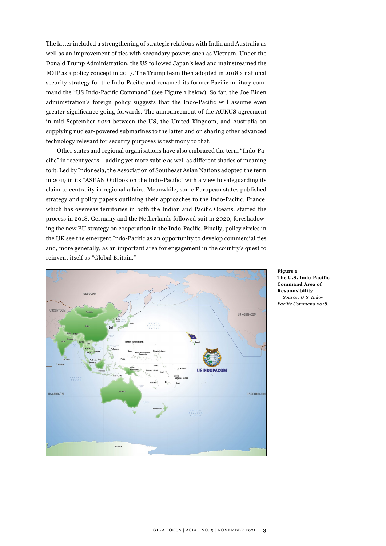The latter included a strengthening of strategic relations with India and Australia as well as an improvement of ties with secondary powers such as Vietnam. Under the Donald Trump Administration, the US followed Japan's lead and mainstreamed the FOIP as a policy concept in 2017. The Trump team then adopted in 2018 a national security strategy for the Indo-Pacific and renamed its former Pacific military command the "US Indo-Pacific Command" (see Figure 1 below). So far, the Joe Biden administration's foreign policy suggests that the Indo-Pacific will assume even greater significance going forwards. The announcement of the AUKUS agreement in mid-September 2021 between the US, the United Kingdom, and Australia on supplying nuclear-powered submarines to the latter and on sharing other advanced technology relevant for security purposes is testimony to that.

Other states and regional organisations have also embraced the term "Indo-Pacific" in recent years – adding yet more subtle as well as different shades of meaning to it. Led by Indonesia, the Association of Southeast Asian Nations adopted the term in 2019 in its "ASEAN Outlook on the Indo-Pacific" with a view to safeguarding its claim to centrality in regional affairs. Meanwhile, some European states published strategy and policy papers outlining their approaches to the Indo-Pacific. France, which has overseas territories in both the Indian and Pacific Oceans, started the process in 2018. Germany and the Netherlands followed suit in 2020, foreshadowing the new EU strategy on cooperation in the Indo-Pacific. Finally, policy circles in the UK see the emergent Indo-Pacific as an opportunity to develop commercial ties and, more generally, as an important area for engagement in the country's quest to reinvent itself as "Global Britain."



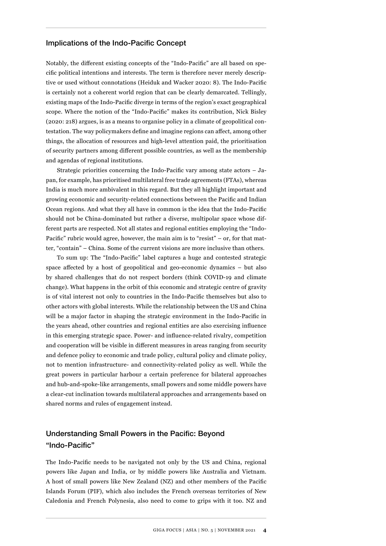## Implications of the Indo-Pacific Concept

Notably, the different existing concepts of the "Indo-Pacific" are all based on specific political intentions and interests. The term is therefore never merely descriptive or used without connotations (Heiduk and Wacker 2020: 8). The Indo-Pacific is certainly not a coherent world region that can be clearly demarcated. Tellingly, existing maps of the Indo-Pacific diverge in terms of the region's exact geographical scope. Where the notion of the "Indo-Pacific" makes its contribution, Nick Bisley (2020: 218) argues, is as a means to organise policy in a climate of geopolitical contestation. The way policymakers define and imagine regions can affect, among other things, the allocation of resources and high-level attention paid, the prioritisation of security partners among different possible countries, as well as the membership and agendas of regional institutions.

Strategic priorities concerning the Indo-Pacific vary among state actors – Japan, for example, has prioritised multilateral free trade agreements (FTAs), whereas India is much more ambivalent in this regard. But they all highlight important and growing economic and security-related connections between the Pacific and Indian Ocean regions. And what they all have in common is the idea that the Indo-Pacific should not be China-dominated but rather a diverse, multipolar space whose different parts are respected. Not all states and regional entities employing the "Indo-Pacific" rubric would agree, however, the main aim is to "resist" – or, for that matter, "contain" – China. Some of the current visions are more inclusive than others.

To sum up: The "Indo-Pacific" label captures a huge and contested strategic space affected by a host of geopolitical and geo-economic dynamics – but also by shared challenges that do not respect borders (think COVID-19 and climate change). What happens in the orbit of this economic and strategic centre of gravity is of vital interest not only to countries in the Indo-Pacific themselves but also to other actors with global interests. While the relationship between the US and China will be a major factor in shaping the strategic environment in the Indo-Pacific in the years ahead, other countries and regional entities are also exercising influence in this emerging strategic space. Power- and influence-related rivalry, competition and cooperation will be visible in different measures in areas ranging from security and defence policy to economic and trade policy, cultural policy and climate policy, not to mention infrastructure- and connectivity-related policy as well. While the great powers in particular harbour a certain preference for bilateral approaches and hub-and-spoke-like arrangements, small powers and some middle powers have a clear-cut inclination towards multilateral approaches and arrangements based on shared norms and rules of engagement instead.

## Understanding Small Powers in the Pacific: Beyond "Indo-Pacific"

The Indo-Pacific needs to be navigated not only by the US and China, regional powers like Japan and India, or by middle powers like Australia and Vietnam. A host of small powers like New Zealand (NZ) and other members of the Pacific Islands Forum (PIF), which also includes the French overseas territories of New Caledonia and French Polynesia, also need to come to grips with it too. NZ and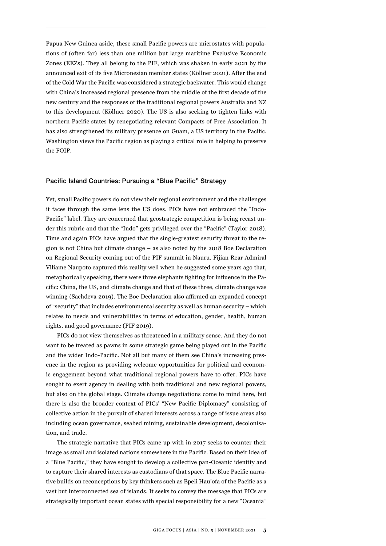Papua New Guinea aside, these small Pacific powers are microstates with populations of (often far) less than one million but large maritime Exclusive Economic Zones (EEZs). They all belong to the PIF, which was shaken in early 2021 by the announced exit of its five Micronesian member states (Köllner 2021). After the end of the Cold War the Pacific was considered a strategic backwater. This would change with China's increased regional presence from the middle of the first decade of the new century and the responses of the traditional regional powers Australia and NZ to this development (Köllner 2020). The US is also seeking to tighten links with northern Pacific states by renegotiating relevant Compacts of Free Association. It has also strengthened its military presence on Guam, a US territory in the Pacific. Washington views the Pacific region as playing a critical role in helping to preserve the FOIP.

## Pacific Island Countries: Pursuing a "Blue Pacific" Strategy

Yet, small Pacific powers do not view their regional environment and the challenges it faces through the same lens the US does. PICs have not embraced the "Indo-Pacific" label. They are concerned that geostrategic competition is being recast under this rubric and that the "Indo" gets privileged over the "Pacific" (Taylor 2018). Time and again PICs have argued that the single-greatest security threat to the region is not China but climate change – as also noted by the 2018 Boe Declaration on Regional Security coming out of the PIF summit in Nauru. Fijian Rear Admiral Viliame Naupoto captured this reality well when he suggested some years ago that, metaphorically speaking, there were three elephants fighting for influence in the Pacific: China, the US, and climate change and that of these three, climate change was winning (Sachdeva 2019). The Boe Declaration also affirmed an expanded concept of "security" that includes environmental security as well as human security – which relates to needs and vulnerabilities in terms of education, gender, health, human rights, and good governance (PIF 2019).

PICs do not view themselves as threatened in a military sense. And they do not want to be treated as pawns in some strategic game being played out in the Pacific and the wider Indo-Pacific. Not all but many of them see China's increasing presence in the region as providing welcome opportunities for political and economic engagement beyond what traditional regional powers have to offer. PICs have sought to exert agency in dealing with both traditional and new regional powers, but also on the global stage. Climate change negotiations come to mind here, but there is also the broader context of PICs' "New Pacific Diplomacy" consisting of collective action in the pursuit of shared interests across a range of issue areas also including ocean governance, seabed mining, sustainable development, decolonisation, and trade.

The strategic narrative that PICs came up with in 2017 seeks to counter their image as small and isolated nations somewhere in the Pacific. Based on their idea of a "Blue Pacific," they have sought to develop a collective pan-Oceanic identity and to capture their shared interests as custodians of that space. The Blue Pacific narrative builds on reconceptions by key thinkers such as Epeli Hau'ofa of the Pacific as a vast but interconnected sea of islands. It seeks to convey the message that PICs are strategically important ocean states with special responsibility for a new "Oceania"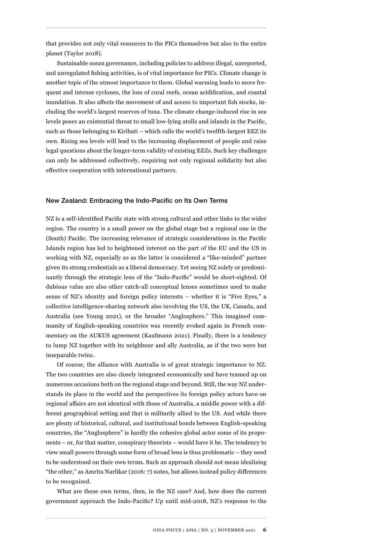that provides not only vital resources to the PICs themselves but also to the entire planet (Taylor 2018).

Sustainable ocean governance, including policies to address illegal, unreported, and unregulated fishing activities, is of vital importance for PICs. Climate change is another topic of the utmost importance to them. Global warming leads to more frequent and intense cyclones, the loss of coral reefs, ocean acidification, and coastal inundation. It also affects the movement of and access to important fish stocks, including the world's largest reserves of tuna. The climate change-induced rise in sea levels poses an existential threat to small low-lying atolls and islands in the Pacific, such as those belonging to Kiribati – which calls the world's twelfth-largest EEZ its own. Rising sea levels will lead to the increasing displacement of people and raise legal questions about the longer-term validity of existing EEZs. Such key challenges can only be addressed collectively, requiring not only regional solidarity but also effective cooperation with international partners.

#### New Zealand: Embracing the Indo-Pacific on Its Own Terms

NZ is a self-identified Pacific state with strong cultural and other links to the wider region. The country is a small power on the global stage but a regional one in the (South) Pacific. The increasing relevance of strategic considerations in the Pacific Islands region has led to heightened interest on the part of the EU and the US in working with NZ, especially so as the latter is considered a "like-minded" partner given its strong credentials as a liberal democracy. Yet seeing NZ solely or predominantly through the strategic lens of the "Indo-Pacific" would be short-sighted. Of dubious value are also other catch-all conceptual lenses sometimes used to make sense of NZ's identity and foreign policy interests – whether it is "Five Eyes," a collective intelligence-sharing network also involving the US, the UK, Canada, and Australia (see Young 2021), or the broader "Anglosphere." This imagined community of English-speaking countries was recently evoked again in French commentary on the AUKUS agreement (Kaufmann 2021). Finally, there is a tendency to lump NZ together with its neighbour and ally Australia, as if the two were but inseparable twins.

Of course, the alliance with Australia is of great strategic importance to NZ. The two countries are also closely integrated economically and have teamed up on numerous occasions both on the regional stage and beyond. Still, the way NZ understands its place in the world and the perspectives its foreign policy actors have on regional affairs are not identical with those of Australia, a middle power with a different geographical setting and that is militarily allied to the US. And while there are plenty of historical, cultural, and institutional bonds between English-speaking countries, the "Anglosphere" is hardly the cohesive global actor some of its proponents – or, for that matter, conspiracy theorists – would have it be. The tendency to view small powers through some form of broad lens is thus problematic – they need to be understood on their own terms. Such an approach should not mean idealising "the other," as Amrita Narlikar (2016: 7) notes, but allows instead policy differences to be recognised.

What are these own terms, then, in the NZ case? And, how does the current government approach the Indo-Pacific? Up until mid-2018, NZ's response to the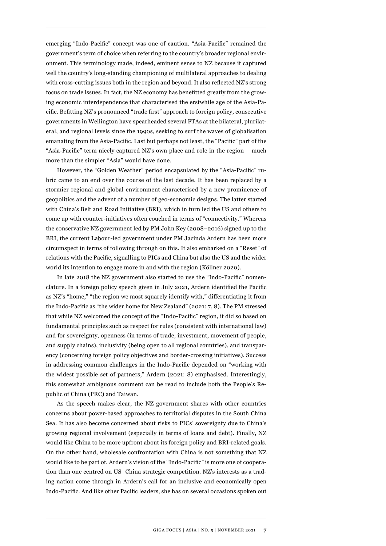emerging "Indo-Pacific" concept was one of caution. "Asia-Pacific" remained the government's term of choice when referring to the country's broader regional environment. This terminology made, indeed, eminent sense to NZ because it captured well the country's long-standing championing of multilateral approaches to dealing with cross-cutting issues both in the region and beyond. It also reflected NZ's strong focus on trade issues. In fact, the NZ economy has benefitted greatly from the growing economic interdependence that characterised the erstwhile age of the Asia-Pacific. Befitting NZ's pronounced "trade first" approach to foreign policy, consecutive governments in Wellington have spearheaded several FTAs at the bilateral, plurilateral, and regional levels since the 1990s, seeking to surf the waves of globalisation emanating from the Asia-Pacific. Last but perhaps not least, the "Pacific" part of the "Asia-Pacific" term nicely captured NZ's own place and role in the region – much more than the simpler "Asia" would have done.

However, the "Golden Weather" period encapsulated by the "Asia-Pacific" rubric came to an end over the course of the last decade. It has been replaced by a stormier regional and global environment characterised by a new prominence of geopolitics and the advent of a number of geo-economic designs. The latter started with China's Belt and Road Initiative (BRI), which in turn led the US and others to come up with counter-initiatives often couched in terms of "connectivity." Whereas the conservative NZ government led by PM John Key (2008–2016) signed up to the BRI, the current Labour-led government under PM Jacinda Ardern has been more circumspect in terms of following through on this. It also embarked on a "Reset" of relations with the Pacific, signalling to PICs and China but also the US and the wider world its intention to engage more in and with the region (Köllner 2020).

In late 2018 the NZ government also started to use the "Indo-Pacific" nomenclature. In a foreign policy speech given in July 2021, Ardern identified the Pacific as NZ's "home," "the region we most squarely identify with," differentiating it from the Indo-Pacific as "the wider home for New Zealand" (2021: 7, 8). The PM stressed that while NZ welcomed the concept of the "Indo-Pacific" region, it did so based on fundamental principles such as respect for rules (consistent with international law) and for sovereignty, openness (in terms of trade, investment, movement of people, and supply chains), inclusivity (being open to all regional countries), and transparency (concerning foreign policy objectives and border-crossing initiatives). Success in addressing common challenges in the Indo-Pacific depended on "working with the widest possible set of partners," Ardern (2021: 8) emphasised. Interestingly, this somewhat ambiguous comment can be read to include both the People's Republic of China (PRC) and Taiwan.

As the speech makes clear, the NZ government shares with other countries concerns about power-based approaches to territorial disputes in the South China Sea. It has also become concerned about risks to PICs' sovereignty due to China's growing regional involvement (especially in terms of loans and debt). Finally, NZ would like China to be more upfront about its foreign policy and BRI-related goals. On the other hand, wholesale confrontation with China is not something that NZ would like to be part of. Ardern's vision of the "Indo-Pacific" is more one of cooperation than one centred on US–China strategic competition. NZ's interests as a trading nation come through in Ardern's call for an inclusive and economically open Indo-Pacific. And like other Pacific leaders, she has on several occasions spoken out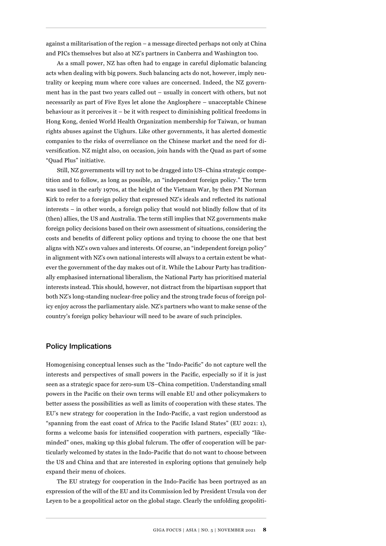against a militarisation of the region – a message directed perhaps not only at China and PICs themselves but also at NZ's partners in Canberra and Washington too.

As a small power, NZ has often had to engage in careful diplomatic balancing acts when dealing with big powers. Such balancing acts do not, however, imply neutrality or keeping mum where core values are concerned. Indeed, the NZ government has in the past two years called out – usually in concert with others, but not necessarily as part of Five Eyes let alone the Anglosphere – unacceptable Chinese behaviour as it perceives it – be it with respect to diminishing political freedoms in Hong Kong, denied World Health Organization membership for Taiwan, or human rights abuses against the Uighurs. Like other governments, it has alerted domestic companies to the risks of overreliance on the Chinese market and the need for diversification. NZ might also, on occasion, join hands with the Quad as part of some "Quad Plus" initiative.

Still, NZ governments will try not to be dragged into US–China strategic competition and to follow, as long as possible, an "independent foreign policy." The term was used in the early 1970s, at the height of the Vietnam War, by then PM Norman Kirk to refer to a foreign policy that expressed NZ's ideals and reflected its national interests – in other words, a foreign policy that would not blindly follow that of its (then) allies, the US and Australia. The term still implies that NZ governments make foreign policy decisions based on their own assessment of situations, considering the costs and benefits of different policy options and trying to choose the one that best aligns with NZ's own values and interests. Of course, an "independent foreign policy" in alignment with NZ's own national interests will always to a certain extent be whatever the government of the day makes out of it. While the Labour Party has traditionally emphasised international liberalism, the National Party has prioritised material interests instead. This should, however, not distract from the bipartisan support that both NZ's long-standing nuclear-free policy and the strong trade focus of foreign policy enjoy across the parliamentary aisle. NZ's partners who want to make sense of the country's foreign policy behaviour will need to be aware of such principles.

## Policy Implications

Homogenising conceptual lenses such as the "Indo-Pacific" do not capture well the interests and perspectives of small powers in the Pacific, especially so if it is just seen as a strategic space for zero-sum US–China competition. Understanding small powers in the Pacific on their own terms will enable EU and other policymakers to better assess the possibilities as well as limits of cooperation with these states. The EU's new strategy for cooperation in the Indo-Pacific, a vast region understood as "spanning from the east coast of Africa to the Pacific Island States" (EU 2021: 1), forms a welcome basis for intensified cooperation with partners, especially "likeminded" ones, making up this global fulcrum. The offer of cooperation will be particularly welcomed by states in the Indo-Pacific that do not want to choose between the US and China and that are interested in exploring options that genuinely help expand their menu of choices.

The EU strategy for cooperation in the Indo-Pacific has been portrayed as an expression of the will of the EU and its Commission led by President Ursula von der Leyen to be a geopolitical actor on the global stage. Clearly the unfolding geopoliti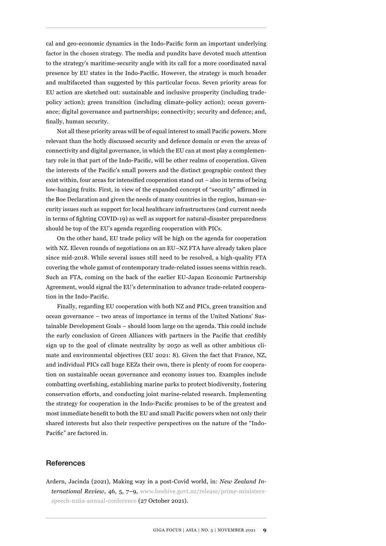cal and geo-economic dynamics in the Indo-Pacific form an important underlying factor in the chosen strategy. The media and pundits have devoted much attention to the strategy's maritime-security angle with its call for a more coordinated naval presence by EU states in the Indo-Pacific. However, the strategy is much broader and multifaceted than suggested by this particular focus. Seven priority areas for EU action are sketched out: sustainable and inclusive prosperity (including tradepolicy action); green transition (including climate-policy action); ocean governance; digital governance and partnerships; connectivity; security and defence; and, finally, human security.

Not all these priority areas will be of equal interest to small Pacific powers. More relevant than the hotly discussed security and defence domain or even the areas of connectivity and digital governance, in which the EU can at most play a complementary role in that part of the Indo-Pacific, will be other realms of cooperation. Given the interests of the Pacific's small powers and the distinct geographic context they exist within, four areas for intensified cooperation stand out – also in terms of being low-hanging fruits. First, in view of the expanded concept of "security" affirmed in the Boe Declaration and given the needs of many countries in the region, human-security issues such as support for local healthcare infrastructures (and current needs in terms of fighting COVID-19) as well as support for natural-disaster preparedness should be top of the EU's agenda regarding cooperation with PICs.

On the other hand, EU trade policy will be high on the agenda for cooperation with NZ. Eleven rounds of negotiations on an EU–NZ FTA have already taken place since mid-2018. While several issues still need to be resolved, a high-quality FTA covering the whole gamut of contemporary trade-related issues seems within reach. Such an FTA, coming on the back of the earlier EU-Japan Economic Partnership Agreement, would signal the EU's determination to advance trade-related cooperation in the Indo-Pacific.

Finally, regarding EU cooperation with both NZ and PICs, green transition and ocean governance – two areas of importance in terms of the United Nations' Sustainable Development Goals – should loom large on the agenda. This could include the early conclusion of Green Alliances with partners in the Pacific that credibly sign up to the goal of climate neutrality by 2050 as well as other ambitious climate and environmental objectives (EU 2021: 8). Given the fact that France, NZ, and individual PICs call huge EEZs their own, there is plenty of room for cooperation on sustainable ocean governance and economy issues too. Examples include combatting overfishing, establishing marine parks to protect biodiversity, fostering conservation efforts, and conducting joint marine-related research. Implementing the strategy for cooperation in the Indo-Pacific promises to be of the greatest and most immediate benefit to both the EU and small Pacific powers when not only their shared interests but also their respective perspectives on the nature of the "Indo-Pacific" are factored in.

## **References**

Ardern, Jacinda (2021), Making way in a post-Covid world, in: *New Zealand International Review*, 46, 5, 7–9, [www.beehive.govt.nz/release/prime-ministers](https://www.beehive.govt.nz/release/prime-ministers-speech-nziia-annual-conference)[speech-nziia-annual-conference](https://www.beehive.govt.nz/release/prime-ministers-speech-nziia-annual-conference) (27 October 2021).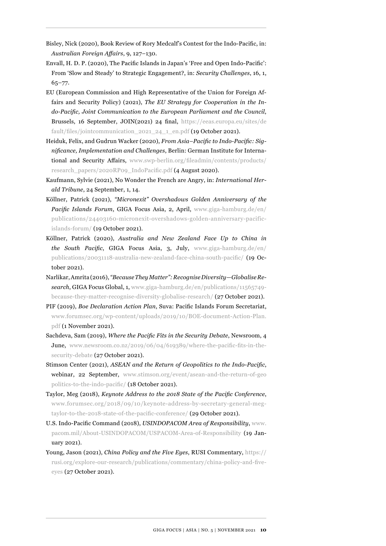- Bisley, Nick (2020), Book Review of Rory Medcalf's Contest for the Indo-Pacific, in: *Australian Foreign Affairs*, 9, 127–130.
- Envall, H. D. P. (2020), The Pacific Islands in Japan's 'Free and Open Indo-Pacific': From 'Slow and Steady' to Strategic Engagement?, in: *Security Challenges*, 16, 1, 65–77.
- EU (European Commission and High Representative of the Union for Foreign Affairs and Security Policy) (2021), *The EU Strategy for Cooperation in the Indo-Pacific, Joint Communication to the European Parliament and the Council*, Brussels, 16 September, JOIN(2021) 24 final, [https://eeas.europa.eu/sites/de](https://eeas.europa.eu/sites/default/files/jointcommunication_2021_24_1_en.pdf) fault/files/jointcommunication 2021 24 1 en.pdf (19 October 2021).
- Heiduk, Felix, and Gudrun Wacker (2020), *From Asia–Pacific to Indo-Pacific: Significance, Implementation and Challenges*, Berlin: German Institute for International and Security Affairs, [www.swp-berlin.org/fileadmin/contents/products/](https://www.swp-berlin.org/fileadmin/contents/products/research_papers/2020RP09_IndoPacific.pdf) [research\\_papers/2020RP09\\_IndoPacific.pdf](https://www.swp-berlin.org/fileadmin/contents/products/research_papers/2020RP09_IndoPacific.pdf) (4 August 2020).
- Kaufmann, Sylvie (2021), No Wonder the French are Angry, in: *International Herald Tribune*, 24 September, 1, 14.
- Köllner, Patrick (2021), *"Micronexit" Overshadows Golden Anniversary of the Pacific Islands Forum*, GIGA Focus Asia, 2, April, [www.giga-hamburg.de/en/](https://www.giga-hamburg.de/en/publications/24403160-micronexit-overshadows-golden-anniversary-pacific-islands-forum/) [publications/24403160-micronexit-overshadows-golden-anniversary-pacific](https://www.giga-hamburg.de/en/publications/24403160-micronexit-overshadows-golden-anniversary-pacific-islands-forum/)[islands-forum/](https://www.giga-hamburg.de/en/publications/24403160-micronexit-overshadows-golden-anniversary-pacific-islands-forum/) (19 October 2021).
- Köllner, Patrick (2020), *Australia and New Zealand Face Up to China in the South Pacific*, GIGA Focus Asia, 3, July, [www.giga-hamburg.de/en/](https://www.giga-hamburg.de/en/publications/20031118-australia-new-zealand-face-china-south-pacific/) [publications/20031118-australia-new-zealand-face-china-south-pacific/](https://www.giga-hamburg.de/en/publications/20031118-australia-new-zealand-face-china-south-pacific/) (19 October 2021).
- Narlikar, Amrita (2016), *"Because They Matter": Recognise Diversity—Globalise Research*, GIGA Focus Global, 1, [www.giga-hamburg.de/en/publications/11565749](https://www.giga-hamburg.de/en/publications/11565749-because-they-matter-recognise-diversity-globalise-research/) [because-they-matter-recognise-diversity-globalise-research/](https://www.giga-hamburg.de/en/publications/11565749-because-they-matter-recognise-diversity-globalise-research/) (27 October 2021).
- PIF (2019), *Boe Declaration Action Plan*, Suva: Pacific Islands Forum Secretariat, [www.forumsec.org/wp-content/uploads/2019/10/BOE-document-Action-Plan.](https://www.forumsec.org/wp-content/uploads/2019/10/BOE-document-Action-Plan.pdf) [pdf](https://www.forumsec.org/wp-content/uploads/2019/10/BOE-document-Action-Plan.pdf) (1 November 2021).
- Sachdeva, Sam (2019), *Where the Pacific Fits in the Security Debate*, Newsroom, 4 June, [www.newsroom.co.nz/2019/06/04/619389/where-the-pacific-fits-in-the](https://www.newsroom.co.nz/2019/06/04/619389/where-the-pacific-fits-in-the-security-debate)[security-debate](https://www.newsroom.co.nz/2019/06/04/619389/where-the-pacific-fits-in-the-security-debate) (27 October 2021).
- Stimson Center (2021), *ASEAN and the Return of Geopolitics to the Indo-Pacific*, webinar, 22 September, [www.stimson.org/event/asean-and-the-return-of-geo](https://www.stimson.org/event/asean-and-the-return-of-geopolitics-to-the-indo-pacific/) [politics-to-the-indo-pacific/](https://www.stimson.org/event/asean-and-the-return-of-geopolitics-to-the-indo-pacific/) (18 October 2021).
- Taylor, Meg (2018), *Keynote Address to the 2018 State of the Pacific Conference*, [www.forumsec.org/2018/09/10/keynote-address-by-secretary-general-meg](https://www.forumsec.org/2018/09/10/keynote-address-by-secretary-general-meg-taylor-to-the-2018-state-of-the-pacific-conference/)[taylor-to-the-2018-state-of-the-pacific-conference/](https://www.forumsec.org/2018/09/10/keynote-address-by-secretary-general-meg-taylor-to-the-2018-state-of-the-pacific-conference/) (29 October 2021).
- U.S. Indo-Pacific Command (2018), *USINDOPACOM Area of Responsibility*, [www.](https://www.pacom.mil/About-USINDOPACOM/USPACOM-Area-of-Responsibility) [pacom.mil/About-USINDOPACOM/USPACOM-Area-of-Responsibility](https://www.pacom.mil/About-USINDOPACOM/USPACOM-Area-of-Responsibility) (19 January 2021).
- Young, Jason (2021), *China Policy and the Five Eyes*, RUSI Commentary, [https://](https://rusi.org/explore-our-research/publications/commentary/china-policy-and-five-eyes) [rusi.org/explore-our-research/publications/commentary/china-policy-and-five](https://rusi.org/explore-our-research/publications/commentary/china-policy-and-five-eyes)[eyes](https://rusi.org/explore-our-research/publications/commentary/china-policy-and-five-eyes) (27 October 2021).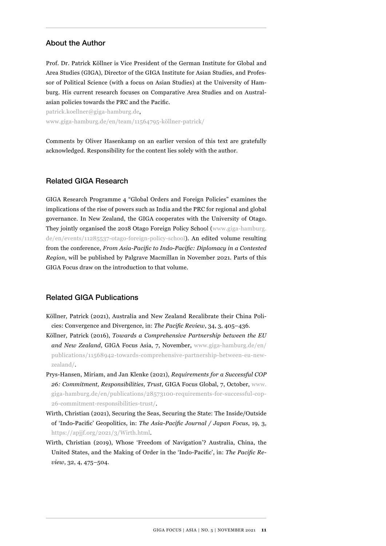## About the Author

Prof. Dr. Patrick Köllner is Vice President of the German Institute for Global and Area Studies (GIGA), Director of the GIGA Institute for Asian Studies, and Professor of Political Science (with a focus on Asian Studies) at the University of Hamburg. His current research focuses on Comparative Area Studies and on Australasian policies towards the PRC and the Pacific.

patrick.koellner@giga-hamburg.de, [www.giga-hamburg.de/en/team/11564795-köllner-patrick/](https://www.giga-hamburg.de/en/team/11564795-köllner-patrick/)

Comments by Oliver Hasenkamp on an earlier version of this text are gratefully acknowledged. Responsibility for the content lies solely with the author.

## Related GIGA Research

GIGA Research Programme 4 "Global Orders and Foreign Policies" examines the implications of the rise of powers such as India and the PRC for regional and global governance. In New Zealand, the GIGA cooperates with the University of Otago. They jointly organised the 2018 Otago Foreign Policy School ([www.giga-hamburg.](https://www.giga-hamburg.de/en/events/11285537-otago-foreign-policy-school) [de/en/events/11285537-otago-foreign-policy-school\)](https://www.giga-hamburg.de/en/events/11285537-otago-foreign-policy-school). An edited volume resulting from the conference, *From Asia-Pacific to Indo-Pacific: Diplomacy in a Contested Region*, will be published by Palgrave Macmillan in November 2021. Parts of this GIGA Focus draw on the introduction to that volume.

## Related GIGA Publications

- Köllner, Patrick (2021), Australia and New Zealand Recalibrate their China Policies: Convergence and Divergence, in: *The Pacific Review*, 34, 3, 405–436.
- Köllner, Patrick (2016), *Towards a Comprehensive Partnership between the EU and New Zealand*, GIGA Focus Asia, 7, November, [www.giga-hamburg.de/en/](https://www.giga-hamburg.de/en/publications/11568942-towards-comprehensive-partnership-between-eu-new-zealand/) [publications/11568942-towards-comprehensive-partnership-between-eu-new](https://www.giga-hamburg.de/en/publications/11568942-towards-comprehensive-partnership-between-eu-new-zealand/)[zealand/](https://www.giga-hamburg.de/en/publications/11568942-towards-comprehensive-partnership-between-eu-new-zealand/).
- Prys-Hansen, Miriam, and Jan Klenke (2021), *Requirements for a Successful COP 26: Commitment, Responsibilities, Trust*, GIGA Focus Global, 7, October, [www.](https://www.giga-hamburg.de/en/publications/28573100-requirements-for-successful-cop-26-commitment-responsibilities-trust/) [giga-hamburg.de/en/publications/28573100-requirements-for-successful-cop-](https://www.giga-hamburg.de/en/publications/28573100-requirements-for-successful-cop-26-commitment-responsibilities-trust/)[26-commitment-responsibilities-trust/](https://www.giga-hamburg.de/en/publications/28573100-requirements-for-successful-cop-26-commitment-responsibilities-trust/).
- Wirth, Christian (2021), Securing the Seas, Securing the State: The Inside/Outside of 'Indo-Pacific' Geopolitics, in: *The Asia-Pacific Journal / Japan Focus*, 19, 3, [https://apjjf.org/2021/3/Wirth.html.](https://apjjf.org/2021/3/Wirth.html)
- Wirth, Christian (2019), Whose 'Freedom of Navigation'? Australia, China, the United States, and the Making of Order in the 'Indo-Pacific', in: *The Pacific Review*, 32, 4, 475–504.